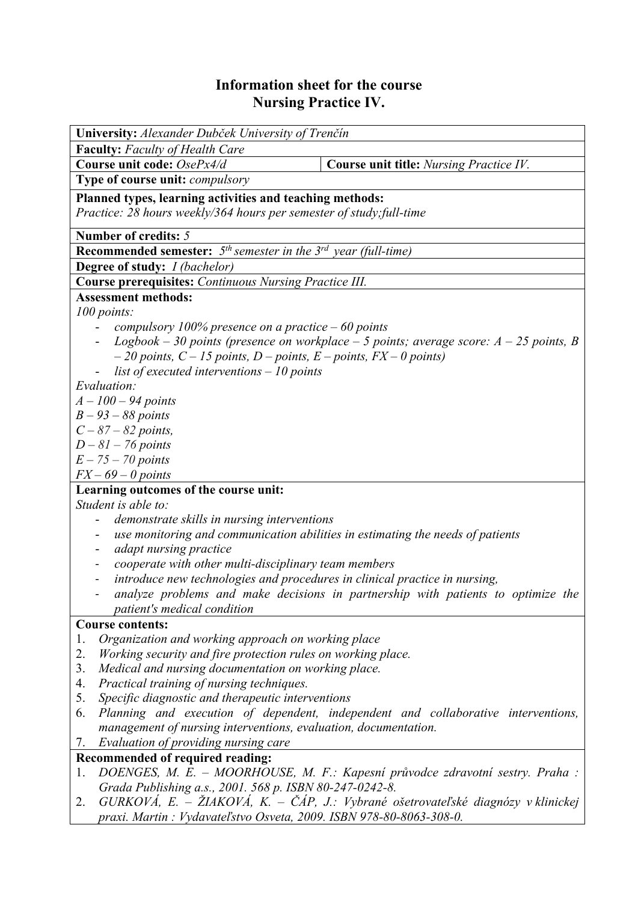## **Information sheet for the course Nursing Practice IV.**

| University: Alexander Dubček University of Trenčín                                                                         |  |  |  |  |  |  |
|----------------------------------------------------------------------------------------------------------------------------|--|--|--|--|--|--|
| <b>Faculty:</b> Faculty of Health Care                                                                                     |  |  |  |  |  |  |
| Course unit code: OsePx4/d<br><b>Course unit title:</b> Nursing Practice IV.                                               |  |  |  |  |  |  |
| Type of course unit: compulsory                                                                                            |  |  |  |  |  |  |
| Planned types, learning activities and teaching methods:                                                                   |  |  |  |  |  |  |
| Practice: 28 hours weekly/364 hours per semester of study; full-time                                                       |  |  |  |  |  |  |
|                                                                                                                            |  |  |  |  |  |  |
| Number of credits: 5                                                                                                       |  |  |  |  |  |  |
| <b>Recommended semester:</b> $5th$ semester in the $3rd$ year (full-time)                                                  |  |  |  |  |  |  |
| <b>Degree of study:</b> <i>I (bachelor)</i>                                                                                |  |  |  |  |  |  |
| <b>Course prerequisites:</b> Continuous Nursing Practice III.<br><b>Assessment methods:</b>                                |  |  |  |  |  |  |
|                                                                                                                            |  |  |  |  |  |  |
| 100 points:                                                                                                                |  |  |  |  |  |  |
| compulsory 100% presence on a practice $-60$ points                                                                        |  |  |  |  |  |  |
| Logbook – 30 points (presence on workplace – 5 points; average score: $A - 25$ points, B                                   |  |  |  |  |  |  |
| $-20$ points, $C - 15$ points, $D$ – points, $E$ – points, $FX - 0$ points)<br>list of executed interventions $-10$ points |  |  |  |  |  |  |
| Evaluation:                                                                                                                |  |  |  |  |  |  |
| $A - 100 - 94$ points                                                                                                      |  |  |  |  |  |  |
|                                                                                                                            |  |  |  |  |  |  |
| $B - 93 - 88$ points                                                                                                       |  |  |  |  |  |  |
| $C - 87 - 82$ points,                                                                                                      |  |  |  |  |  |  |
| $D-81-76$ points                                                                                                           |  |  |  |  |  |  |
| $E - 75 - 70$ points                                                                                                       |  |  |  |  |  |  |
| $FX - 69 - 0$ points<br>Learning outcomes of the course unit:                                                              |  |  |  |  |  |  |
| Student is able to:                                                                                                        |  |  |  |  |  |  |
| demonstrate skills in nursing interventions<br>-                                                                           |  |  |  |  |  |  |
| use monitoring and communication abilities in estimating the needs of patients                                             |  |  |  |  |  |  |
| adapt nursing practice<br>-                                                                                                |  |  |  |  |  |  |
| cooperate with other multi-disciplinary team members<br>$\blacksquare$                                                     |  |  |  |  |  |  |
| introduce new technologies and procedures in clinical practice in nursing,                                                 |  |  |  |  |  |  |
| analyze problems and make decisions in partnership with patients to optimize the                                           |  |  |  |  |  |  |
| patient's medical condition                                                                                                |  |  |  |  |  |  |
| <b>Course contents:</b>                                                                                                    |  |  |  |  |  |  |
| Organization and working approach on working place<br>1.                                                                   |  |  |  |  |  |  |
| 2.<br>Working security and fire protection rules on working place.                                                         |  |  |  |  |  |  |
| 3.<br>Medical and nursing documentation on working place.                                                                  |  |  |  |  |  |  |
| Practical training of nursing techniques.<br>4.                                                                            |  |  |  |  |  |  |
| 5.<br>Specific diagnostic and therapeutic interventions                                                                    |  |  |  |  |  |  |
| Planning and execution of dependent, independent and collaborative interventions,<br>6.                                    |  |  |  |  |  |  |
| management of nursing interventions, evaluation, documentation.                                                            |  |  |  |  |  |  |
| Evaluation of providing nursing care<br>7.                                                                                 |  |  |  |  |  |  |
| Recommended of required reading:                                                                                           |  |  |  |  |  |  |
| DOENGES, M. E. - MOORHOUSE, M. F.: Kapesní průvodce zdravotní sestry. Praha :<br>1.                                        |  |  |  |  |  |  |
| Grada Publishing a.s., 2001. 568 p. ISBN 80-247-0242-8.                                                                    |  |  |  |  |  |  |
| $GURKOVA$ , E. – ŽIAKOVÁ, K. – ČÁP, J.: Vybrané ošetrovateľské diagnózy v klinickej<br>2.                                  |  |  |  |  |  |  |
| praxi. Martin: Vydavateľstvo Osveta, 2009. ISBN 978-80-8063-308-0.                                                         |  |  |  |  |  |  |